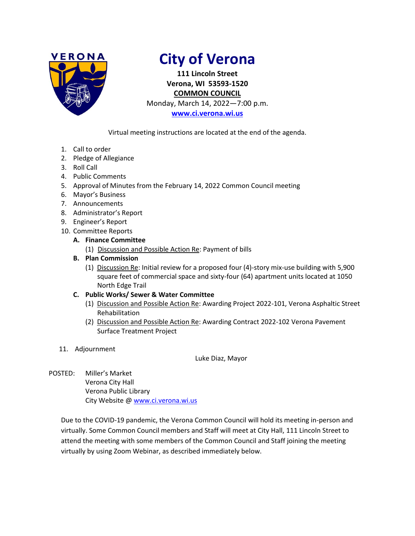

# **City of Verona**

**111 Lincoln Street Verona, WI 53593-1520 COMMON COUNCIL**

Monday, March 14, 2022—7:00 p.m.

**[www.ci.verona.wi.us](http://www.ci.verona.wi.us/)**

Virtual meeting instructions are located at the end of the agenda.

- 1. Call to order
- 2. Pledge of Allegiance
- 3. Roll Call
- 4. Public Comments
- 5. Approval of Minutes from the February 14, 2022 Common Council meeting
- 6. Mayor's Business
- 7. Announcements
- 8. Administrator's Report
- 9. Engineer's Report
- 10. Committee Reports

# **A. Finance Committee**

(1) Discussion and Possible Action Re: Payment of bills

# **B. Plan Commission**

(1) Discussion Re: Initial review for a proposed four (4)-story mix-use building with 5,900 square feet of commercial space and sixty-four (64) apartment units located at 1050 North Edge Trail

# **C. Public Works/ Sewer & Water Committee**

- (1) Discussion and Possible Action Re: Awarding Project 2022-101, Verona Asphaltic Street Rehabilitation
- (2) Discussion and Possible Action Re: Awarding Contract 2022-102 Verona Pavement Surface Treatment Project
- 11. Adjournment

Luke Diaz, Mayor

POSTED: Miller's Market Verona City Hall Verona Public Library City Website [@ www.ci.verona.wi.us](http://www.ci.verona.wi.us/)

Due to the COVID-19 pandemic, the Verona Common Council will hold its meeting in-person and virtually. Some Common Council members and Staff will meet at City Hall, 111 Lincoln Street to attend the meeting with some members of the Common Council and Staff joining the meeting virtually by using Zoom Webinar, as described immediately below.